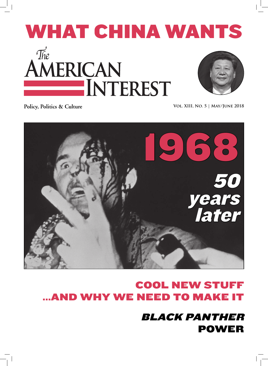# WHAT CHINA WANTS The AMERICAN INTEREST

Policy, Politics & Culture **VOL. XIII, NO. 5** | MAY/JUNE 2018



# **COOL NEW STI** ...AND WHY WE NEED TO MAKE I

BLACK PANTHER POWER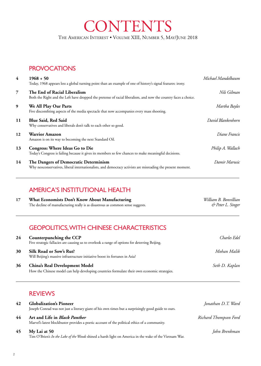THE AMERICAN INTEREST . VOLUME XIII, NUMBER 5, MAY/JUNE 2018

**CONTENTS** 

# **PROVOCATIONS**

| $\overline{4}$ | $1968 + 50$<br>Today, 1968 appears less a global turning point than an example of one of history's signal features: irony.                           | Michael Mandelbaum |
|----------------|------------------------------------------------------------------------------------------------------------------------------------------------------|--------------------|
| $\overline{7}$ | The End of Racial Liberalism<br>Both the Right and the Left have dropped the pretense of racial liberalism, and now the country faces a choice.      | Nils Gilman        |
| 9              | We All Play Our Parts<br>Five discomfiting aspects of the media spectacle that now accompanies every mass shooting.                                  | Martha Bayles      |
| 11             | <b>Blue Said, Red Said</b><br>Why conservatives and liberals don't talk to each other so good.                                                       | David Blankenhorn  |
| 12             | <b>Warrior Amazon</b><br>Amazon is on its way to becoming the next Standard Oil.                                                                     | Diane Francis      |
| 13             | <b>Congress: Where Ideas Go to Die</b><br>Today's Congress is failing because it gives its members so few chances to make meaningful decisions.      | Philip A. Wallach  |
| 14             | The Dangers of Democratic Determinism<br>Why neoconservatives, liberal internationalists, and democracy activists are misreading the present moment. | Damir Marusic      |

# AMERICA'S INSTITUTIONAL HEALTH

**17 What Economists Don't Know About Manufacturing** *William B. Bonvillian*<br>The decline of manufacturing really is as disastrous as common sense suggests.  $\phi$  Peter L. Singer The decline of manufacturing really is as disastrous as common sense suggests.

# GEOPOLITICS, WITH CHINESE CHARACTERISTICS

| 24 | Counterpunching the CCP<br>Five strategic fallacies are causing us to overlook a range of options for deterring Beijing.       | Charles Edel   |
|----|--------------------------------------------------------------------------------------------------------------------------------|----------------|
| 30 | Silk Road or Sow's Rut?<br>Will Beijing's massive infrastructure initiative boost its fortunes in Asia?                        | Mohan Malik    |
| 36 | China's Real Development Model<br>How the Chinese model can help developing countries formulate their own economic strategies. | Seth D. Kaplan |

# REVIEWS

| 42 | <b>Globalization's Pioneer</b>                                                                                                        | Jonathan D.T. Ward    |
|----|---------------------------------------------------------------------------------------------------------------------------------------|-----------------------|
|    | Joseph Conrad was not just a literary giant of his own times but a surprisingly good guide to ours.                                   |                       |
| 44 | Art and Life in <i>Black Panther</i><br>Marvel's latest blockbuster provides a poetic account of the political ethics of a community. | Richard Thompson Ford |
| 45 | My Lai at 50<br>Tim O'Brien's In the Lake of the Woods shined a harsh light on America in the wake of the Vietnam War.                | John Brenkman         |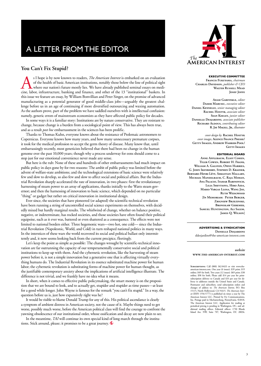# A LETTER FROM THE EDITOR

#### **You Can't Fix Stupid?**

<sup>s I</sup> hope is by now known to readers, *The American Interest* is embarked on an evaluation of the health of basic American institutions, notably those below the line of political sight where our nation's future mostly lie of the health of basic American institutions, notably those below the line of political sight where our nation's future mostly lies. We have already published seminal essays on medicine, labor, infrastructure, banking and finance, and other of the 13 "institutional" baskets. In this issue we feature an essay, by William Bonvillian and Peter Singer, on the promise of advanced manufacturing as a potential generator of good middle-class jobs—arguably the greatest challenge before us in an age of continuing if more diversified outsourcing and waxing automation. As the authors prove, part of the problem we have saddled ourselves with is intellectual confusion: namely, generic errors of mainstream economists as they have affected public policy for decades.

In some ways it is a familiar story: Institutions are by nature conservative. They are resistant to change, because change is a burden from a sociological point of view. This has always been true, and as a result *post hoc* embarrassment in the sciences has been prolific.

Thanks to Thomas Kuhn, everyone knows about the resistance of Ptolemaic astronomers to Copernicus. Everyone knows how many years, and how many unnecessary premature corpses, it took for the medical profession to accept the germ theory of disease. Many know that, until embarrassingly recently, most geneticists believed that there had been no change in the human genome over the past 10,000 years; though why a process underway for eons should come to a stop just for our emotional convenience never made any sense.

But here is the rub: None of these and hundreds of other embarrassments had much impact on public policy in days gone by for two reasons: The ambit of public policy was limited before the advent of welfare-state ambitions; and the technological extensions of basic science were relatively few and slow to develop, so also few and slow to affect social and political affairs. But the Industrial Revolution sharply accelerated the rate of innovation, in two phases: first the revolutionary harnessing of steam power to an array of applications, thanks initially to the Watts steam governor; and then the harnessing of innovation to basic science, which depended on no particular "thing" or gadget but rather on critical innovation in institutional design.

Ever since, the societies that have pioneered (or adapted) the scientific-technical revolution have been running a string of uncontrolled social science experiments on themselves, with decidedly mixed but hardly marginal results. The whirlwind of change, whether on balance positive, negative, or indeterminate, has rocked societies, and those societies have often found their political equipoise, such as it ever was, battered or even shattered as a consequence. The effects were not limited to national borders either. Three hegemonic wars—two hot, one cold— since the Industrial Revolution (Napoleonic, World, and Cold) in turn reshaped national politics in many ways. In the interstices of these wars the world recovered its social and political ballast only intermittently and, it now seems looking back from the current precipice, fleetingly.

Let's keep the point as simple as possible: The changes wrought by scientific-technical innovation are far outrunning the capacity of our temperamentally conservative social and political institutions to keep up with them. And the cybernetic revolution, like the harvesting of steam power before it, is not a simple innovation but a generative one that is affecting virtually everything humans do. The Industrial Revolution in its essence substituted machine power for human labor; the cybernetic revolution is substituting forms of machine power for human thought, as the justifiable contemporary anxiety about the implications of artificial intelligence illustrate. The difference is not trivial, and we frankly have no idea what it means.

In short, when it comes to effective public policymaking, the smart money is on the proposition that we are bound to look, and to actually get, stupider and stupider as time passes—at least for a good while longer. John Wayne is famous for the remark "you can't fix stupid." In a way, the question before us is, just how expansively right was he?

It would be risible to blame Donald Trump for any of this. His political ascendance is clearly a symptom of ambient distress in American society, not the cause of it. Maybe things need to get worse, possibly much worse, before the American political class will find the courage to confront the yawning obsolescence of our institutional order, whose ossification and decay are now plain to see.

In the meantime, *TAI* will continue its own special kind of long march through the institutions. Stick around, please; it promises to be a great journey.



#### **EXECUTIVE COMMITTEE**

**Francis Fukuyama,** *chairman* **Charles Davidson,** *publisher & CEO* **Walter Russell Mead JOSEF JOFFE** 

**Adam Garfinkle,** *editor* **Damir Marusic,** *executive editor* **Daniel Kennelly,** *senior managing editor* **Rachel Hostyk,** *associate editor* **Sean Keeley,** *junior editor* **Danielle Desjardins***, associate publisher* **Richard Aldous,** *contributing editor* **R. Jay Magill, Jr.,** *illustrator*

*cover design by* **Rachel Hostyk** *cover images,* **Agence France Presse/ GETTY IMAGES, ANDREW HARRER-POOL/ Getty Images**

#### **EDITORIAL BOARD**

**Anne Applebaum, Eliot Cohen, Tyler Cowen, Robert H. Frank, William A. Galston, Owen Harries, G. John Ikenberry, Stephen D. Krasner, Bernard-Henri Lévy, Sebastian Mallaby, Michael Mandelbaum, C. Raja Mohan, Ana Palacio, Itamar Rabinovich, Lilia Shevtsova, Hiro Aida, Mario Vargas Llosa, Wang Jisi, Ruth Wedgwood [In Memoriam: Peter Berger, Zbigniew Brzezinski, Bronisław Geremek, Samuel Huntington, Ali Salem, James Q. Wilson]**

#### **ADVERTISING & SYNDICATION Danielle Desjardins**

ddesjardins@the-american-interest.com

#### *website* **www.the-american-interest.com**

**Subscriptions:** Call (800) 362-8433 or visit www.theamerican-interest.com. One year (6 issues): \$39 print; \$19 online; \$49 for both. Two years (12 issues): \$69 print; \$38 online; \$98 for both. Please add \$14 per year for printsubscription delivery to Canada and \$33 per year for delivery to addresses outside the United States and Canada. Postmaster and subscribers, send subscription orders and changes of address to: *The American Interest*, P.O. Box 15115, North Hollywood, CA 91615*. The American Interest* (ISSN 1556-5777) is published six times a year by The American Interest LLC. Printed by Fry Communications, Inc. Postage paid in Mechanicsburg, Pennsylvania. ©2018, The American Interest LLC. Application for mailing at periodical pricing is pending in Washington, DC, and additional mailing offices. Editorial offices: 1730 Rhode Island Ave. NW, Suite 707, Washington, DC 20036.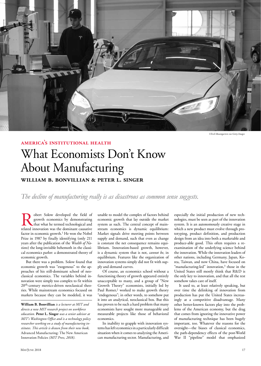

#### **america's institutional health**

*Ulrich Baumgarten via Getty Images*

# What Economists Don't Know About Manufacturing **william b. bonvillian & peter l. singer**

*The decline of manufacturing really is as disastrous as common sense suggests.*

obert Solow developed the field of growth economics by demonstrating that what he termed technological and related innovation was the dominant causative factor in economic growth.<sup>1</sup> He won the Nobel Prize in 1987 by finally identifying (only 211 years after the publication of the *Wealth of Nations*) the long-invisible behemoth in the classical economics parlor: a demonstrated theory of economic growth.

But there was a problem. Solow found that economic growth was "exogenous" to the approaches of his still-dominant school of neoclassical economics. The variables behind innovation were simply too complex to fit within 20<sup>th</sup>-century metrics-driven neoclassical theories. While mainstream economics focused on markets because they can be modeled, it was unable to model the complex of factors behind economic growth that lay outside the market system as such. The central concept of mainstream economics is dynamic equilibrium: Market signals drive meeting points between supply and demand, such that even as change is constant the net consequence remains equilibrium. Innovation-based growth, however, is a dynamic system that is not, *cannot be*, in equilibrium. Features like the organization of innovation systems simply did not fit with supply and demand curves.

Of course, an economics school without a functioning theory of growth appeared entirely unacceptable to many, and a group of "New Growth Theory" economists, initially led by Paul Romer,<sup>2</sup> worked to make growth theory "endogenous"; in other words, to somehow put it into an analytical, neoclassical box. But this has proven to be such a hard problem that many economists have sought more manageable and measurable projects like those of behavioral economics.

Its inability to grapple with innovation systems has left economics in a particularly difficult situation when it comes to analyzing the American manufacturing sector. Manufacturing, and

especially the initial production of new technologies, must be seen as part of the innovation system. It is an autonomously creative stage in which a new product must evolve through prototyping, product definition, and production design from an idea into both a marketable and produce-able good. This often requires a reexamination of the underlying science behind the innovation. While the innovation leaders of other nations, including Germany, Japan, Korea, Taiwan, and now China, have focused on "manufacturing-led" innovation, $3$  those in the United States still mostly think that R&D is the only key to innovation, and that all the rest somehow takes care of itself.

It used to, at least relatively speaking, but over time the delinking of innovation from production has put the United States increasingly at a competitive disadvantage. Many other better-known factors play into the problems of the American economy, but the drag that comes from ignoring the innovative power of manufacturing technique has been hugely important, too. Whatever the reasons for the oversight—the biases of classical economics, the path-dependency effects of the post-World War II "pipeline" model that emphasized

**William B. Bonvillian** *is a lecturer at MIT and directs a new MIT research project on workforce education.* **Peter L. Singer** *was a senior advisor at MIT's Washington Office and is a technology policy researcher working on a study of manufacturing institutes. This article is drawn from their new book,*  Advanced Manufacturing: The New American Innovation Policies *(MIT Press, 2018).*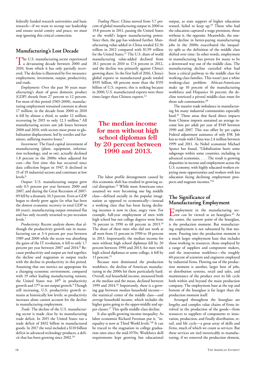federally funded research universities and basic research—if we want to recoup our leadership and ensure social comity and peace, we must stop ignoring this critical connection.

#### **Manufacturing's Lost Decade**

The U.S. manufacturing sector experienced a devastating decade between 2000 and 2010, from which it has only partially recovered. The decline is illustrated by five measures: employment, investment, output, productivity, and trade.

*Employment:* Over the past 50 years manufacturing's share of gross domestic product (GDP) shrank from 27 percent to 12 percent. For most of this period (1965-2000), manufacturing employment remained constant at about 17 million; in the decade from 2000 to 2010 it fell by almost a third, to under 12 million, recovering by 2015 to only 12.3 million.<sup>4</sup> All manufacturing sectors saw job losses between 2000 and 2010, with sectors most prone to globalization displacement, led by textiles and furniture, suffering massive losses.5

*Investment:* The fixed capital investment of manufacturing (plant, equipment, information technology, and so on), actually declined 1.8 percent in the 2000s when adjusted for cost—the first time this has occurred since data collection began in 1947. It declined in 15 of 19 industrial sectors and continues at low levels.6

*Output:* U.S. manufacturing output grew only 0.5 percent per year between 2000 and 2007, and during the Great Recession of 2007- 09 fell by a dramatic 10.3 percent. Even as GDP began to slowly grow again (in what has been the slowest economic recovery in total GDP in 60 years), manufacturing output remained flat and has only recently returned to pre-recession levels.7

*Productivity:* Recent analysis shows that although the productivity growth rate in manufacturing ran at 3-4 percent per year between 1989 and 2000 while the sector was absorbing the gains of the IT revolution, it fell to only 1.7 percent per year between 2007 and 2014.8 Because productivity and output are tied together, the decline and stagnation in output tracks with the decline in productivity in this period. Assuming that our metrics are appropriate for a changing economic environment, compared with 19 other leading manufacturing nations, the United States was 10<sup>th</sup> in productivity growth and 17th in net output growth.9 Though still increasing, U.S. productivity growth remains at historically low levels; so productivity increases alone cannot account for the decline in manufacturing employment.

*Trade:* The decline of the U.S. manufacturing sector is made clear by its manufacturing trade deficit. In 2015 the United States ran a trade deficit of \$832 billion in manufactured goods. In 2017 the total included a \$110 billion deficit in advanced technology products, a deficit that has been growing since 2002.10

*Trading Places:* China moved from 5.7 percent of global manufacturing output in 2000 to 19.8 percent in 2011, passing the United States as the world's largest manufacturing power. Since then, the gap has widened further. Manufacturing value-added in China totaled \$2.56 trillion in 2012 compared with \$1.99 trillion for the United States.11 The U.S. share of world manufacturing value-added declined from 18.1 percent in 2010 to 17.4 percent in 2012, and the decline was primarily against China's growing share. In the first half of 2016, China's global exports in manufactured goods totaled \$935 billion, 68 percent more than the \$555 billion of U.S. exports; this is striking because in 2000, U.S. manufactured exports were three times larger than Chinese exports.12

# **The median income for men without high school diplomas fell by 20 percent between 1990 and 2013.**

The labor profile derangement caused by this economic shift has resulted in growing social disruption.13 While most Americans once assumed we were becoming one big middle class—defined socially in the popular imagination as opposed to economically—instead a working class that has been facing declining incomes is now in clear, angry view. For example, full-year employment of men with high school but not college degrees went from 76 percent in 1990 to 68 percent in 2013.14 The share of these men who did not work at all went from 11 percent in 1990 to 18 percent in 2013. Importantly, the median income for men without high school diplomas fell by 20 percent between 1990 and 2013; for men with high school diplomas or some college, it fell by 13 percent.<sup>15</sup>

Because men dominated the production workforce, the decline of American manufacturing in the 2000s hit them particularly hard. Overall, real household income, measured both at the median and the mean, declined between 1999 and 2014.16 Importantly, there is a growing gap between *median* household income the statistical center of the middle class—and *average* household income, which includes the higher gains going to the upper-middle and upper classes.17 This spells middle-class decline.

It also spells growing income inequality. As labor economist Richard Freeman put it, "inequality is now at Third World levels."18 It can be traced to the stagnation in college graduation rates since the mid-1970s: Workforce skill requirements kept growing but educational

output, as state support of higher education waned, failed to keep up.<sup>19</sup> Those who had the education captured a wage premium, those without it, the opposite. Meanwhile, the onethird decline in better-paying manufacturing jobs in the 2000s exacerbated the inequality split as the definition of the middle class shifted over time: In other words, employment in manufacturing has proven for many to be a downward way out of the middle class. The manufacturing decline curtailed what had been a critical pathway to the middle class for working-class families. This wasn't just a white working-class problem: African-Americans make up 10 percent of the manufacturing workforce and Hispanics 16 percent; the decline restricted a pivotal middle-class route for those sub-communities.20

The massive trade imbalance in manufacturing hit many industrial communities especially hard.<sup>21</sup> Those areas that faced direct impacts from Chinese imports sustained an average income loss per adult per year of \$549 between 1990 and 2007. This was offset by per capita Federal adjustment assistance of only \$58. Job loss to trade with China was 2.4 million between 1999 and 2011. As Nobel economist Michael Spence has found, "Globalization hurts some subgroups within some countries, including in advanced economies. . . . The result is growing disparities in income and employment across the U.S. economy, with highly educated workers enjoying more opportunities and workers with less education facing declining employment prospects and stagnant incomes."22

#### **The Significance of Manufacturing Employment**

**E**mployment in the manufacturing sector can be viewed as an hourglass.<sup>23</sup> At the center, the narrow point of the hourglass, is the production moment. But manufacturing employment is not subsumed by that moment. Pouring into the production moment is a much larger employment base that includes those working in resources, those employed by a range of suppliers and component makers, and the innovation workforce—the roughly 60 percent of scientists and engineers employed by industrial firms. Flowing out of the production moment is another, larger host of jobs, in distribution systems, retail and sales, and maintenance of the product over its life cycle both within and beyond the main production company. The employment base at the top and bottom of the hourglass is far larger than the production moment itself.

Arranged throughout the hourglass are lengthy and complex value chains of firms involved in the production of the goods—from resources to suppliers of components to innovation, production, and finally distribution, retail, and life cycle—a great array of skills and firms, much of which we count as services. But these services are tied inextricably to manufacturing; if we removed the production element,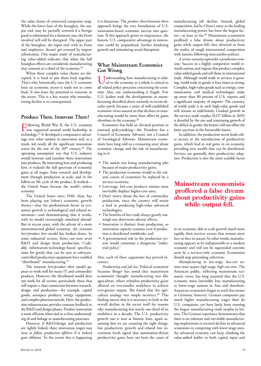the value chains of connected companies snap. While the lower base of the hourglass, the output end, may be partially restored if a foreign good is substituted for a domestic one, the firms involved will still be disrupted. The upper part of the hourglass, the input end, with its firms and employees, doesn't get restored by import substitution. One major study of manufacturing value-added indicates that when the full hourglass effects are considered, manufacturing may amount to a third of the economy.24

When these complex value chains are disrupted, it is hard to put them back together. That's why, historically, once the U.S. economy loses an economic sector it tends not to come back. It also loses the potential to innovate in the sector. This is a key reason why manufacturing decline is so consequential.

#### **Produce There, Innovate There?**

Following World War II, the U.S. economy was organized around world leadership in technology.25 It developed a comparative advantage over other nations in innovation and, as a result, led nearly all the significant innovation waves for the rest of the 20<sup>th</sup> century.<sup>26</sup> The operating assumption was that U.S. industry would innovate and translate those innovations into products. By innovating here and producing here, it realized the full spectrum of economic gains at all stages, from research and development through production at scale, and in the follow-on life cycle of the product. It worked the United States became the world's richest economy.

The United States since 1940, then, has been playing out Solow's economic growth theory—that the predominant factor in economic growth is technological and related innovation—and demonstrating that it works, with its model increasingly emulated abroad. But in recent years, with the advent of a more interconnected global economy, the *innovate here/produce here* model has broken down. In some industrial sectors, firms can now sever R&D and design from production. Codeable information-technology-based specifications for goods that can be sent to softwarecontrolled production equipment have enabled "distributed" manufacturing.<sup>27</sup>

The *innovate here/produce there* model appears to work well for many IT and commodity products. However, the distributed model does not work for all sectors, particularly those that still require a close connection between research, design, and production—for example, capital goods, aerospace products, energy equipment, and complex pharmaceuticals. Here, the production infrastructure provides constant feedback to the R&D and design phases. Product innovation is most efficient when tied to a close understanding of and linkage to manufacturing processes.

However, if R&D/design and production are tightly linked, these innovation stages *may have to follow production offshore* if it indeed goes offshore. To the extent this is happening

it is disastrous. The *produce there/innovate there* approach brings the very foundations of U.S. innovation-based economic success into question. If this approach grows in importance, the historic U.S. comparative advantage in innovation could be jeopardized, further hindering growth and stimulating social disruption.

#### **What Mainstream Economics Got Wrong**

Inderstanding how manufacturing is related to the economy as a whole is critical to all related policy processes concerning the economy. Alas, our understanding is fragile. Few U.S. leaders took the developments in manufacturing described above seriously in recent decades partly because a series of well-established economic views assured us that declines in manufacturing would be more than offset by gains elsewhere in the economy.28

Economics has held an elevated position in national policymaking—the President has a Council of Economic Advisors, not a Council of Sociological Advisors. Mainstream economists have long told us a reassuring story about economic change and the role of manufacturing in it:

- The nation was losing manufacturing jobs because of major productivity gains;
- The production economy would in the natural course of economics be replaced by a services economy;
- Low-wage, low-cost producer nations must inevitably displace higher-cost ones;
- Don't worry about the loss of commodity production, since the country will retain a lead in producing high-value advanced technologies;
- The benefits of free trade always greatly outweigh any short-term adverse effects;
- Innovation is distinct from production, so innovation capacity remains even if production is distributed worldwide; and
- A governmental role in the production system would constitute a dangerous "industrial policy."

Alas, each of these arguments has proved incorrect.

*Productivity and job loss:* Political economist Suzanne Berger has noted that mainstream economists thought manufacturing was like agriculture, where relentless productivity gains allowed an ever-smaller workforce to achieve ever-greater output. She found that the agriculture analogy was simply incorrect.<sup>29</sup> This finding means that it is necessary to look at the overall decline in the sector itself for reasons why manufacturing lost nearly one-third of its workforce in a decade. The U.S. productivity growth rate is now at historic lows, again assuming that we are counting the right things; low productivity growth and related low investment levels signal that automation-driven productivity gains have *not* been the cause of manufacturing job decline. Instead, global competition, led by China's entry as the leading manufacturing power, has been the largest factor—at least so far.<sup>30</sup> Mainstream economists proffered a false dream about productivity gains while output fell; they diverted us from the reality of tough international competition with nations following mercantilist policies.

*A service economy supersedes a production economy:* Success in a highly competitive world rewards nations and regions that produce complex, value-added goods and sell them in international trade. Although world trade in services is growing, world trade in goods is four times as strong. Complex, high-value goods such as energy, communication, and medical technologies make up more than 80 percent of U.S. exports and a significant majority of imports. The currency of world trade is in such high-value goods and will remain so indefinitely. Gradual growth in the services trade surplus (\$227 billion in 2015) is dwarfed by the size and continuing growth of the deficit in goods; the former will not offset the latter anytime in the foreseeable future.

In addition, the production sector leads other sectors in the introduction of productivity gains, which lead to real gains in an economy, providing new wealth that can be distributed. Services are generally slow productivity adaptors. Production is also the most scalable factor

### **Mainstream economists proffered a false dream about productivity gains while output fell.**

in an economy, able to scale growth much more rapidly than services sectors that remain more face-to-face in nature. In other words, manufacturing appears to be indispensable to a modern economy and will not be superseded anytime soon by a services-only economy. Economists should stop pretending otherwise.

*Manufacturing in low-wage, low-cost nations must surpass high-wage, high-cost ones:* The American public, reflecting mainstream economic views, has long assumed that the U.S. economy must inevitably lose manufacturing to lower-wage nations in Asia and elsewhere. American economists forgot to send that memo to Germany, however. German companies pay much higher manufacturing wages than do U.S. companies, yet have lately been running the largest manufacturing trade surplus in history. The German experience demonstrates that there is no inherent and inevitable manufacturing employment or sectoral decline in advanced economies in competing with lower-wage ones. An advanced economy can keep climbing the value-added ladder in both capital input and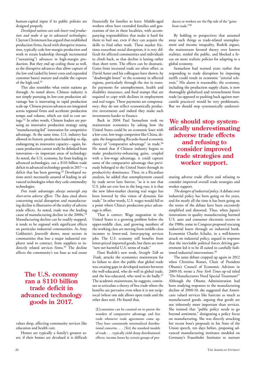human-capital input if its public policies are designed properly.

*Developed nations can cede lower-end production and make it up in advanced technologies:*  Clayton Christensen has argued that established production firms, faced with disruptive innovation, typically cede low-margin production and work to retain leadership through incremental ("sustaining") advances in high-margin production. But they end up ceding those as well, as the disruptive advances that allow capture of the low end (aided by lower costs and expanded customer bases) mature and enable the capture of the high end.<sup>31</sup>

This also resembles what entire nations go through. As noted above, Chinese industry is not simply pursuing its low-cost production advantage but is innovating in rapid production scale-up. Chinese process advances are integrated across regional firms and accelerate production tempo and volume, which are tied to cost savings.32 In other words, Chinese leaders are pursuing an innovative production strategy using "manufacturing-led" innovation for competitive advantage. At the same time, U.S. industry has allowed its historic production leadership to slip, endangering its innovative capacity—again, because production cannot really be delinked from innovation—in important areas of technology. As noted, the U.S. economy, far from leading in advanced technologies, ran a \$110 billion trade deficit in advanced technology goods in 2017—a deficit that has been growing.<sup>33</sup> Developed nations aren't necessarily assured of leading in advanced technologies when they cede commodity technologies.

*Free trade advantages always outweigh any short-term adverse effects:* The data cited above concerning social disruption and manufacturing decline is illustrative of the reality of adverse trade effects. As noted, trade was the leading cause of manufacturing decline in the 2000s.<sup>34</sup> Manufacturing decline can be readily mapped; it tends to be regional with significant effects on particular industrial communities. As Amy Goldstein's *Janesville* shows, most sectors in communities that lose a major industrial employer tend to contract, from suppliers to indirectly related services firms.35 The decline affects the community's tax base as real estate

## **The U.S. economy ran a \$110 billion trade deficit in advanced technology goods in 2017.**

Homes are typically a family's greatest asset; if their homes are devalued it is difficult financially for families to leave. Middle-aged workers often have extended families and generations of ties in these localities, with accompanying responsibilities that make it hard for them to bail out, even if they can acquire the skills to find other work. These market frictions exacerbate social disruption; it is very difficult for affected communities and individuals to climb back, so that decline is lasting rather than short term. The effects can be dramatic. Gains from increased trade are often offset, as David Autor and his colleagues have shown, by "deadweight losses" to the economy in affected regions, particularly through the rise in transfer payments for unemployment, health and disability insurance, and food stamps that are required to cope with declines in employment and real wages. These payments are compensatory; they do not reflect economically productive investments and indeed they make such investments harder to finance.

Back in 2004 Paul Samuelson took on mainstream economics by asking how the United States could be an economic loser with a low-cost, low-wage competitor like China, despite the longstanding Ricardo-based economic theory of "comparative advantage" in trade.<sup>36</sup> He noted that if Chinese industry begins to make productivity-enhancing gains, coupled with a low-wage advantage, it could capture some of the comparative advantage that previously belonged to the United States through its productivity dominance. Then, in a Ricardian analysis, he added that unemployment caused by trade never lasts forever, "so it is not that U.S. jobs are ever lost in the long run; it is that the new labor-market clearing real wages has been lowered by this vision of dynamic fair trade." In other words, U.S. wages would fall to a point where China's production price advantage is offset.

That is correct: Wage stagnation in the United States is a growing problem below the upper-middle class, and growing numbers of the working class are moving from middle-class incomes to lower-end, lower-paying services jobs. The U.S. economy still benefits from lower-priced imported goods, but there are now "new net harmful U.S. terms of trade."

Dani Rodrik's new work, *Straight Talk on Trade*, attacks the economics mainstream for its failure to alert the public that global trade was creating gaps in developed nations between the well-educated, who do well in global trade, and the less-educated, who tend to do badly.37 The academic mainstream, he suggests, continues to articulate a theory of free trade where the benefits are pervasive even when it is not reciprocal (where one side allows open trade and the other does not). He found that,

[E]conomists can be counted on to parrot the wonders of comparative advantage and free trade whenever trade agreements come up. They have consistently minimalized distributional concerns. . . . [Yet] the standard models of trade . . . typically yield sharp distributional effects: income losses by certain groups of producers or workers are the flip side of the "gains from trade."38

By holding to perspectives that assumed away such things as trade-related unemployment and income inequality, Rodrik argues, the mainstream favored theory over known realities, misled the public, and blocked a focus on more realistic policies for adapting to a global economy.

Samuelson had warned years earlier that responding to trade disruption by imposing tariffs could result in economic "arterial sclerosis." His alarm is reasonable; the economy, including the production supply chain, is now thoroughly globalized and retrenchment from trade (as opposed to pushing back against mercantile practices) would be very problematic. But we should stop systematically underesti-

**We should stop systematically underestimating adverse trade effects and refusing to consider improved trade strategies and worker support.**

mating adverse trade effects and refusing to consider improved overall trade strategies and worker support.

*The dangers of industrial policy*: A debate over industrial policy has been going on for years, and for nearly all the time it has been going on the terms of the debate have been excessively simplified and distorted. Thus, when Japan's innovations in quality manufacturing harmed U.S. auto and consumer electronic sectors in the 1980s, some in Congress proposed rescuing industrial losers through an industrial bank. Economist Charles Schultz, in a well-known attack on industrial policy, argued in response that the inevitable political forces driving government led it to be ill suited to carefully fashioned industrial interventions.39

The same debate cropped up again in 2012 when Christina Romer, Chair of President Obama's Council of Economic Advisors in 2009-10, wrote a *New York Times* op-ed titled "Do Manufacturers Need Special Treatment?" Although the Obama Administration had been studying responses to the manufacturing decline of 2000-10, she suggested that Americans valued services like haircuts as much as manufactured goods, arguing that goods are not inherently more important than services. She insisted that "public policy needs to go beyond sentiment," denigrating a policy focus on manufacturing. She was directly attacking her recent boss's proposals in his State of the Union speech, ten days before, proposing advanced manufacturing institutes modeled on Germany's Fraunhofer Institutes to nurture

values drop, affecting community services like education and health care.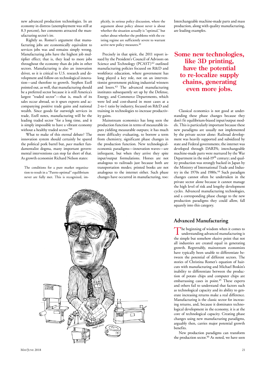new advanced production technologies. In an economy in distress (unemployment was still at 8.3 percent), her comments attracted the manufacturing sector's ire.

Rightly so. Romer's argument that manufacturing jobs are economically equivalent to services jobs was and remains simply wrong. Manufacturing jobs have the highest job multiplier effect; that is, they lead to more jobs throughout the economy than do jobs in other sectors. Manufacturing is also an innovation driver, so it is critical to U.S. research and development and follow-on technological innovation—and therefore to growth. Stephen Ezell pointed out, as well, that manufacturing should be a preferred sector because it is still America's largest "traded sector"—that is, much of its sales occur abroad, so it spurs exports and accompanying positive trade gains and national wealth. Since goods far outweigh services in trade, Ezell notes, manufacturing will be the leading traded sector "for a long time, and it is simply impossible to have a vibrant economy without a healthy traded sector."40

What to make of this eternal debate? The innovation system should certainly be spared the political pork barrel but, *pace* market fundamentalist dogma, many important governmental interventions can stop far short of that. As growth economist Richard Nelson states:

The conditions for a pure market organization to result in a "Pareto optimal" equilibrium never are fully met. This is recognized, implicitly, in serious policy discussion, where the argument about policy almost never is about whether the situation actually is "optimal," but rather about whether the problems with the existing regime are sufficiently severe to warrant active new policy measures.<sup>41</sup>

Precisely in that spirit, the 2011 report issued by the President's Council of Advisors on Science and Technology (PCAST)<sup>42</sup> outlined manufacturing policies focused on R&D and workforce education, where government has long played a key role, not on an interventionist government picking industrial winners and losers.43 The advanced manufacturing institutes subsequently set up by the Defense, Energy, and Commerce Departments, which were led and cost-shared in most cases at a 2-to-1 ratio by industry, focused on R&D and training in technologies to increase productivity gains.

Mainstream economics has long seen the production function in terms of measurable inputs yielding measurable outputs; it has much more difficulty evaluating, to borrow a term from chemistry, significant phase changes in the production function. New technologicaleconomic paradigms—innovation waves—are infrequent, but when they arrive they spite input/output formulations. Horses are not analogous to railroads just because both are transportation modes; printed books are not analogous to the internet either. Such phase changes have occurred in manufacturing, too:



Interchangeable machine-made parts and mass production, along with quality manufacturing, are leading examples.

## **Some new technologies, like 3D printing, have the potential to re-localize supply chains, generating even more jobs.**

Classical economics is not good at understanding these phase changes because they don't fit equilibrium-biased input/output models. This is particularly important because these new paradigms are usually not implemented by the private sector alone: Railroad development was heavily supported and subsidized by state and Federal governments; the internet was developed through DARPA; interchangeable machine-made parts were nurtured by the War Department in the mid-19th century; and quality production was strongly backed in Japan by the Ministry of International Trade and Industry in the 1970s and 1980s. $44$  Such paradigm changes cannot often be undertaken in the private sector alone because it cannot manage the high level of risk and lengthy development cycles. Advanced manufacturing technologies, and a corresponding phase change to the new production paradigms they could allow, fall squarely into this category.

#### **Advanced Manufacturing**

The beginning of wisdom when it comes to understanding advanced manufacturing is the simple but somehow elusive point that not all industries are created equal in generating growth. Regrettably, mainstream economists have typically been unable to differentiate between the potential of different sectors. The stories of Christina Romer's equation of haircuts with manufacturing and Michael Boskin's inability to differentiate between the production of potato chips and computer chips are embarrassing cases in point.<sup>45</sup> These experts and others fail to understand that factors such as technological capacity and its ability to generate increasing returns make a real difference. Manufacturing is the classic sector for increasing returns, and, because it dominates technological development in the economy, it is at the core of technological capacity. Creating phase changes using new manufacturing paradigms, arguably then, carries major potential growth benefits.

New production paradigms can transform the production sector.<sup>46</sup> As noted, we have seen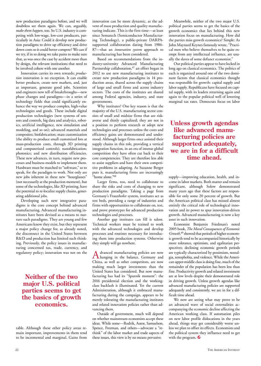new production paradigms before, and we will doubtless see them again. We can, arguably, *make them happen*, too. So U.S. industry is competing with low-wage, low-cost producers, particularly in Asia: Could it develop new production paradigms to drive up efficiency and drive down costs so it could better compete? We can if we try, if in so doing we take pains to make sure that, as was once the case by accident more than by design, the relevant institutions that need to be involved cohere with one another.

Innovation carries its own rewards; *production* innovation is no exception. It can enable better products, create new markets, and, just as important, generate good jobs. Scientists and engineers now tell of breakthroughs—new phase changes and paradigms—in a series of technology fields that could significantly enhance the way we produce complex, high-value technologies and goods. These include digital production technologies (new systems of sensors and controls, big data and analytics, robotics, artificial intelligence, new simulation and modeling, and so on); advanced materials and composites; biofabrication; mass customization (the ability to produce small customized lots at mass-production costs, through 3D printing and computerized controls); nanofabrication; photonics; and new distribution efficiencies. These new advances, in turn, require new processes and business models to implement them. Hardware must be matched to "software," so to speak, for the paradigm to work. Not only are new jobs inherent in these new "hourglasses" (not necessarily at the production moment), but some of the technologies, like 3D printing, have the potential to re-localize supply chains, generating additional jobs.

Developing such new integrative paradigms is the core concept behind advanced manufacturing. Advanced manufacturing institutes have been devised as a means to nurture such paradigms. They are young and few Americans know they exist, but they represent a major policy change for, as already noted, the disconnect in the United States between R&D and production has limited such thinking. Previously, the policy issues in manufacturing concerned tax, trade, currency, and regulatory policy; innovation was not on the

# **Neither of the two major U.S. political parties seems to get the basics of growth economics.**

table. Although these other policy areas remain important, improvements in them tend to be incremental and marginal. Gains from innovation can be more dynamic, as the advent of mass production and quality manufacturing indicate. This is the first time—at least since Sematech (Semiconductor Manufacturing Technology), a public-private DARPAsupported collaboration dating from 1986- 87—that an *innovation system* approach to manufacturing has been considered.

Based on recommendations from the industry-university Advanced Manufacturing Partnership collaboration,<sup>47</sup> an effort began in 2012 to use new manufacturing institutes to create new production paradigms in 14 production areas, shared across the supply chains of large and small firms and across industry sectors. The costs of the institutes are shared among Federal agencies, industry, and state governments.

Why institutes? One key reason is that the majority of the U.S. manufacturing sector consists of small and midsize firms that are riskaverse and thinly capitalized; they are not in a position to perform research or adopt new technologies and processes unless the costs and efficiency gains are demonstrated and understood. Although larger firms once assisted their supply chains in this role, providing a vertical integration function, in an era of intense global competition they have often cut back to their core competencies. They are therefore less able to assist suppliers and have their own competitive problems in adapting. As Suzanne Berger puts it, manufacturing firms are increasingly "home alone."48

Larger firms, too, need to collaborate to share the risks and costs of changing to new production paradigms. Taking a page from Germany's Fraunhofer system, institutes act as test beds, providing a range of industries and firms with opportunities to collaborate on, test, and prove prototypes for advanced production technologies and processes.

Another gap institutes can fill is talent. Technical workers must be trained to work with the advanced technologies and develop processes and routines necessary for introducing them into production systems. Otherwise they simply will go nowhere.

Advanced manufacturing policies are now hanging in the balance. Germany and China, as well as other competitors, are now making much larger investments than the United States has considered. But now manufacturing has had its "Sputnik moment": the 2016 presidential election and the workingclass backlash it illuminated. Yet the current Administration, although it embraced manufacturing during the campaign, appears to be merely tolerating the manufacturing institutes and related innovation policies rather than advancing them.

Outside of government, much will depend on whether mainstream economists accept these ideas. While some—Rodrik, Autor, Samuelson, Spence, Freeman, and others—advocate a "rethink" of the labor market and trade aspects of these issues, this view is by no means pervasive.

Meanwhile, neither of the two major U.S. political parties seems to get the basics of the growth economics that lies behind this new innovation focus on manufacturing. How did the parties miss growth economics? Simple: As John Maynard Keynes famously wrote, "Practical men who believe themselves to be quite exempt from any intellectual influence, are usually the slaves of some defunct economist."

Our political parties appear to have locked in long ago on classical economics. The politics of each is organized around one of the two dominant factors that classical economics thought was responsible for growth: capital supply and labor supply. Republicans have focused on capital supply, with its leaders returning again and again to the popular political well of lowering marginal tax rates. Democrats focus on labor

## **Unless growth agendas like advanced manufacturing policies are supported adequately, we are in for a difficult time ahead.**

supply—improving education, health, and income in labor markets. Both matter and remain significant, although Solow demonstrated many years ago that these factors are responsible for only some 20 percent of growth. But the American political class has missed almost entirely the critical role of technological innovation and its power to spur innovation-driven growth. Advanced manufacturing is now a key asset in such innovation.

Economist Benjamin Friedman's noted 2005 book, *The Moral Consequences of Economic Growth,*49 showed that periods of higher economic growth tend to be accompanied historically by more tolerance, optimism, and egalitarian perspectives; declining economic growth periods are typically characterized by pessimism, nostalgia, xenophobia, and violence. While the American upper-middle class is doing fine, much of the remainder of the population has been less than fine. Productivity growth and related investment are at low levels despite their demonstrated role in driving growth. Unless growth agendas like advanced manufacturing policies are supported adequately and consistently, we are in for a difficult time ahead.

We now are seeing what may prove to be an advanced wave of social externalities accompanying the economic decline affecting the American working class. If automation piles on new labor profile dislocations in the years ahead, things may get considerably worse unless we plan to offset its effects. Economists and the political system they influence need to get with the program.